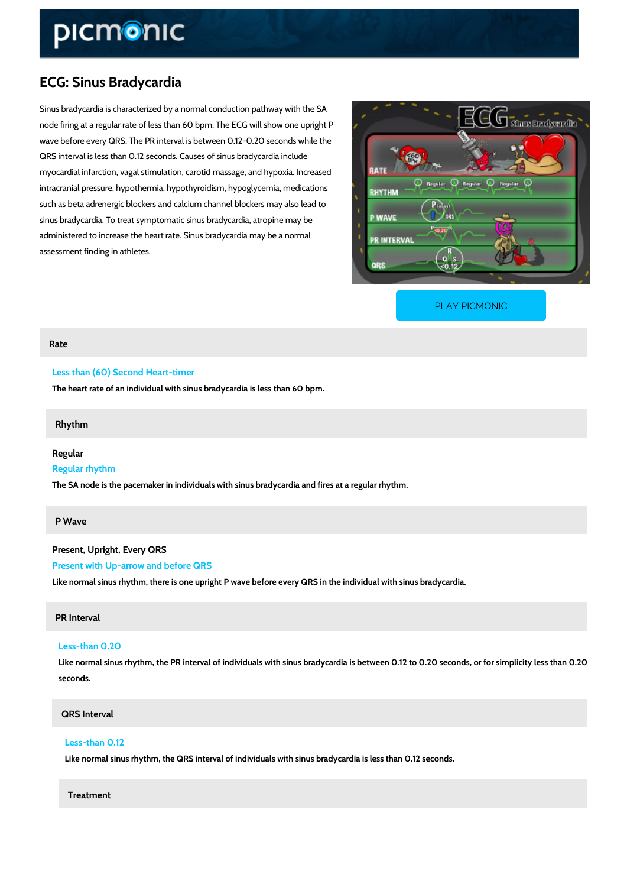# ECG: Sinus Bradycardia

Sinus bradycardia is characterized by a normal conduction pathway with the SA node firing at a regular rate of less than 60 bpm. The ECG will show one upright P wave before every QRS. The PR interval is between 0.12-0.20 seconds while the QRS interval is less than 0.12 seconds. Causes of sinus bradycardia include myocardial infarction, vagal stimulation, carotid massage, and hypoxia. Increased intracranial pressure, hypothermia, hypothyroidism, hypoglycemia, medications such as beta adrenergic blockers and calcium channel blockers may also lead to sinus bradycardia. To treat symptomatic sinus bradycardia, atropine may be administered to increase the heart rate. Sinus bradycardia may be a normal assessment finding in athletes.

[PLAY PICMONIC](https://www.picmonic.com/learn/ecg-sinus-bradycardia_2336?utm_source=downloadable_content&utm_medium=distributedcontent&utm_campaign=pathways_pdf&utm_content=ECG: Sinus Bradycardia&utm_ad_group=leads&utm_market=all)

#### Rate

#### Less than (60) Second Heart-timer

The heart rate of an individual with sinus bradycardia is less than 60 bpm.

#### Rhythm

#### Regular

#### Regular rhythm

The SA node is the pacemaker in individuals with sinus bradycardia and fires at a regular rhy

#### P Wave

Present, Upright, Every QRS Present with Up-arrow and before QRS Like normal sinus rhythm, there is one upright P wave before every QRS in the individual wit

#### PR Interval

# Less-than 0.20 Like normal sinus rhythm, the PR interval of individuals with sinus bradycardia is between ( seconds.

# QRS Interval

## Less-than 0.12

Like normal sinus rhythm, the QRS interval of individuals with sinus bradycardia is less th

#### Treatment